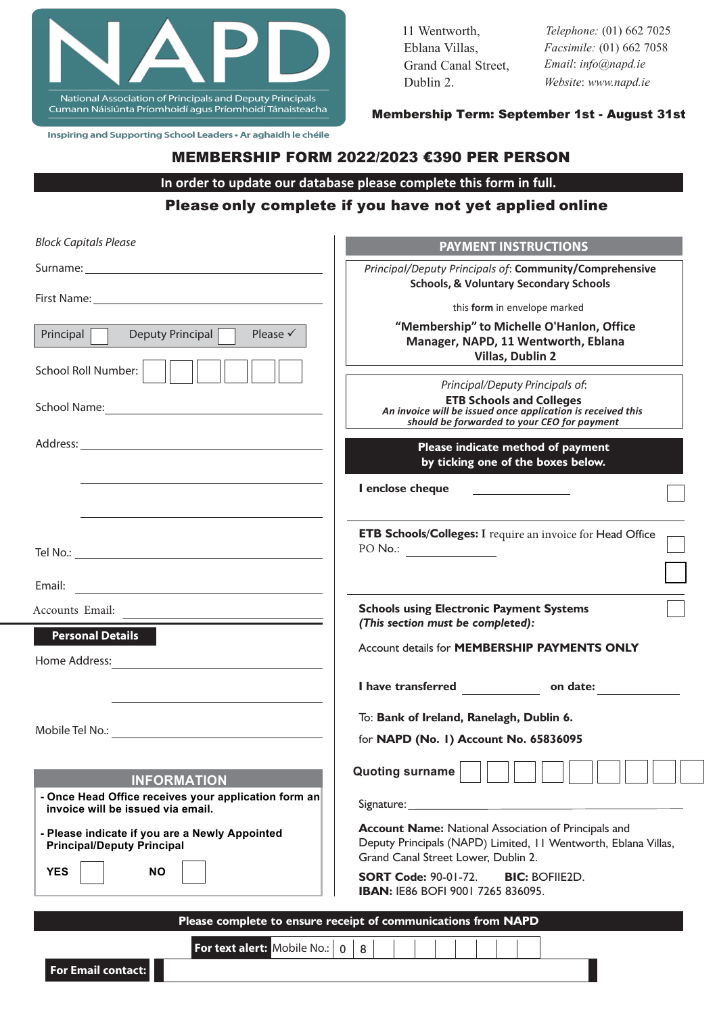

Inspiring and Supporting School Leaders · Ar aghaidh le chéile

**For Email contact:** 

| 11 Wentworth,       |
|---------------------|
| Eblana Villas,      |
| Grand Canal Street, |
| Dublin 2.           |

*Telephone:* (01) 662 7025 *Facsimile:* (01) 662 7058 *Email*: *info@napd.ie Website*: *www.napd.ie*

Membership Term: September 1st - August 31st

#### MEMBERSHIP FORM 2022/2023 €390 PER PERSON

**In order to update our database please complete this form in full.**

### Please only complete if you have not yet applied online

| <b>Block Capitals Please</b>                                                              | <b>PAYMENT INSTRUCTIONS</b>                                                                                                                                          |
|-------------------------------------------------------------------------------------------|----------------------------------------------------------------------------------------------------------------------------------------------------------------------|
|                                                                                           | Principal/Deputy Principals of: Community/Comprehensive<br><b>Schools, &amp; Voluntary Secondary Schools</b>                                                         |
|                                                                                           | this form in envelope marked                                                                                                                                         |
| Deputy Principal<br>Principal<br>Please $\checkmark$                                      | "Membership" to Michelle O'Hanlon, Office<br>Manager, NAPD, 11 Wentworth, Eblana<br>Villas, Dublin 2                                                                 |
| School Roll Number:                                                                       | Principal/Deputy Principals of:                                                                                                                                      |
|                                                                                           | <b>ETB Schools and Colleges</b><br>An invoice will be issued once application is received this<br>should be forwarded to your CEO for payment                        |
|                                                                                           | Please indicate method of payment<br>by ticking one of the boxes below.                                                                                              |
|                                                                                           | I enclose cheque                                                                                                                                                     |
|                                                                                           | ETB Schools/Colleges: I require an invoice for Head Office<br>PO No.:                                                                                                |
| Email:<br><u> 1980 - Johann Stein, mars an deus Amerikaansk kommunister (</u>             |                                                                                                                                                                      |
| Accounts Email:                                                                           | <b>Schools using Electronic Payment Systems</b><br>(This section must be completed):                                                                                 |
| <b>Personal Details</b><br>Home Address:                                                  | Account details for MEMBERSHIP PAYMENTS ONLY                                                                                                                         |
|                                                                                           | I have transferred on date:                                                                                                                                          |
|                                                                                           | To: Bank of Ireland, Ranelagh, Dublin 6.                                                                                                                             |
|                                                                                           | for NAPD (No. 1) Account No. 65836095                                                                                                                                |
| <b>INFORMATION</b>                                                                        | Quoting surname                                                                                                                                                      |
| - Once Head Office receives your application form an<br>invoice will be issued via email. | Signature: Signature:                                                                                                                                                |
| - Please indicate if you are a Newly Appointed<br><b>Principal/Deputy Principal</b>       | <b>Account Name:</b> National Association of Principals and<br>Deputy Principals (NAPD) Limited, 11 Wentworth, Eblana Villas,<br>Grand Canal Street Lower, Dublin 2. |
| <b>YES</b><br><b>NO</b>                                                                   | <b>SORT Code: 90-01-72.</b><br><b>BIC: BOFIIE2D.</b><br><b>IBAN: IE86 BOFI 9001 7265 836095.</b>                                                                     |
|                                                                                           | Please complete to ensure receipt of communications from NAPD                                                                                                        |
| <b>For text alert:</b> Mobile No.: 0                                                      | 8                                                                                                                                                                    |